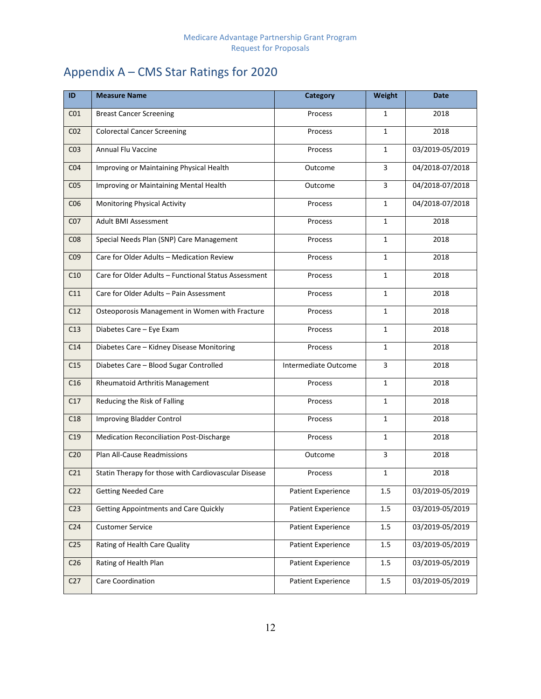# Appendix A – CMS Star Ratings for 2020

| ID              | <b>Measure Name</b>                                  | Category                  | Weight       | Date            |
|-----------------|------------------------------------------------------|---------------------------|--------------|-----------------|
| CO <sub>1</sub> | <b>Breast Cancer Screening</b>                       | Process                   | 1            | 2018            |
| CO <sub>2</sub> | <b>Colorectal Cancer Screening</b>                   | Process                   | $\mathbf{1}$ | 2018            |
| CO <sub>3</sub> | Annual Flu Vaccine                                   | Process                   | $\mathbf{1}$ | 03/2019-05/2019 |
| CO <sub>4</sub> | Improving or Maintaining Physical Health             | Outcome                   | 3            | 04/2018-07/2018 |
| CO <sub>5</sub> | Improving or Maintaining Mental Health               | Outcome                   | 3            | 04/2018-07/2018 |
| CO6             | Monitoring Physical Activity                         | Process                   | $\mathbf{1}$ | 04/2018-07/2018 |
| CO <sub>7</sub> | <b>Adult BMI Assessment</b>                          | Process                   | $\mathbf{1}$ | 2018            |
| CO8             | Special Needs Plan (SNP) Care Management             | Process                   | $\mathbf{1}$ | 2018            |
| CO <sub>9</sub> | Care for Older Adults - Medication Review            | Process                   | $\mathbf{1}$ | 2018            |
| C10             | Care for Older Adults - Functional Status Assessment | Process                   | $\mathbf{1}$ | 2018            |
| C11             | Care for Older Adults - Pain Assessment              | Process                   | 1            | 2018            |
| C12             | Osteoporosis Management in Women with Fracture       | Process                   | $\mathbf{1}$ | 2018            |
| C13             | Diabetes Care - Eye Exam                             | Process                   | $\mathbf{1}$ | 2018            |
| C14             | Diabetes Care - Kidney Disease Monitoring            | Process                   | $\mathbf{1}$ | 2018            |
| C15             | Diabetes Care - Blood Sugar Controlled               | Intermediate Outcome      | 3            | 2018            |
| C16             | Rheumatoid Arthritis Management                      | Process                   | $\mathbf{1}$ | 2018            |
| C17             | Reducing the Risk of Falling                         | Process                   | $\mathbf{1}$ | 2018            |
| C18             | <b>Improving Bladder Control</b>                     | Process                   | 1            | 2018            |
| C19             | Medication Reconciliation Post-Discharge             | Process                   | $\mathbf{1}$ | 2018            |
| C <sub>20</sub> | Plan All-Cause Readmissions                          | Outcome                   | 3            | 2018            |
| C <sub>21</sub> | Statin Therapy for those with Cardiovascular Disease | Process                   | 1            | 2018            |
| C <sub>22</sub> | <b>Getting Needed Care</b>                           | Patient Experience        | 1.5          | 03/2019-05/2019 |
| C <sub>23</sub> | <b>Getting Appointments and Care Quickly</b>         | <b>Patient Experience</b> | 1.5          | 03/2019-05/2019 |
| C <sub>24</sub> | <b>Customer Service</b>                              | Patient Experience        | 1.5          | 03/2019-05/2019 |
| C <sub>25</sub> | Rating of Health Care Quality                        | Patient Experience        | 1.5          | 03/2019-05/2019 |
| C <sub>26</sub> | Rating of Health Plan                                | <b>Patient Experience</b> | 1.5          | 03/2019-05/2019 |
| C27             | Care Coordination                                    | Patient Experience        | 1.5          | 03/2019-05/2019 |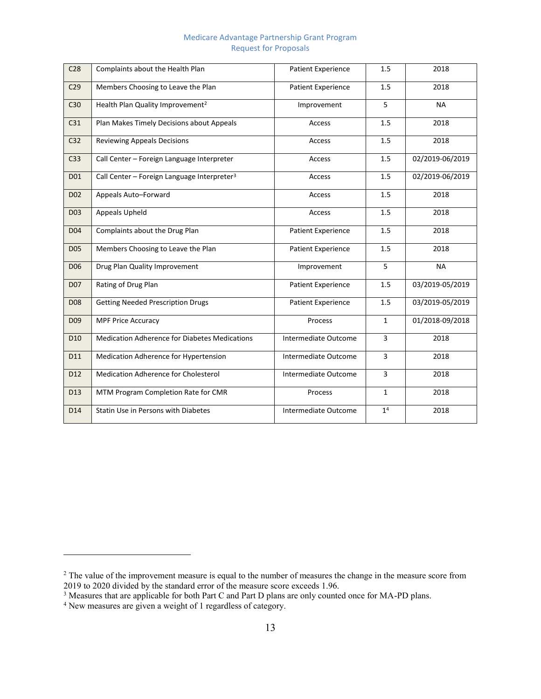#### Medicare Advantage Partnership Grant Program Request for Proposals

| C <sub>28</sub> | Complaints about the Health Plan                        | <b>Patient Experience</b> | 1.5            | 2018            |
|-----------------|---------------------------------------------------------|---------------------------|----------------|-----------------|
| C <sub>29</sub> | Members Choosing to Leave the Plan                      | <b>Patient Experience</b> | 1.5            | 2018            |
| C30             | Health Plan Quality Improvement <sup>2</sup>            | Improvement               | 5              | <b>NA</b>       |
| C31             | Plan Makes Timely Decisions about Appeals               | Access                    | 1.5            | 2018            |
| C <sub>32</sub> | <b>Reviewing Appeals Decisions</b>                      | Access                    | 1.5            | 2018            |
| C <sub>33</sub> | Call Center - Foreign Language Interpreter              | Access                    | 1.5            | 02/2019-06/2019 |
| D01             | Call Center - Foreign Language Interpreter <sup>3</sup> | Access                    | 1.5            | 02/2019-06/2019 |
| D <sub>02</sub> | Appeals Auto-Forward                                    | Access                    | 1.5            | 2018            |
| D <sub>03</sub> | Appeals Upheld                                          | Access                    | 1.5            | 2018            |
| D <sub>04</sub> | Complaints about the Drug Plan                          | <b>Patient Experience</b> | 1.5            | 2018            |
| <b>D05</b>      | Members Choosing to Leave the Plan                      | <b>Patient Experience</b> | 1.5            | 2018            |
| D <sub>06</sub> | Drug Plan Quality Improvement                           | Improvement               | 5              | <b>NA</b>       |
| <b>D07</b>      | Rating of Drug Plan                                     | <b>Patient Experience</b> | 1.5            | 03/2019-05/2019 |
| D <sub>08</sub> | <b>Getting Needed Prescription Drugs</b>                | <b>Patient Experience</b> | 1.5            | 03/2019-05/2019 |
| D <sub>09</sub> | <b>MPF Price Accuracy</b>                               | Process                   | $\mathbf{1}$   | 01/2018-09/2018 |
| D <sub>10</sub> | <b>Medication Adherence for Diabetes Medications</b>    | Intermediate Outcome      | 3              | 2018            |
| D11             | Medication Adherence for Hypertension                   | Intermediate Outcome      | 3              | 2018            |
| D12             | Medication Adherence for Cholesterol                    | Intermediate Outcome      | 3              | 2018            |
| D13             | MTM Program Completion Rate for CMR                     | Process                   | $\mathbf{1}$   | 2018            |
| D14             | Statin Use in Persons with Diabetes                     | Intermediate Outcome      | 1 <sup>4</sup> | 2018            |

 $\overline{a}$ 

 $2$  The value of the improvement measure is equal to the number of measures the change in the measure score from

<sup>2019</sup> to 2020 divided by the standard error of the measure score exceeds 1.96.<br><sup>3</sup> Measures that are applicable for both Part C and Part D plans are only counted once for MA-PD plans.<br><sup>4</sup> New measures are given a weight of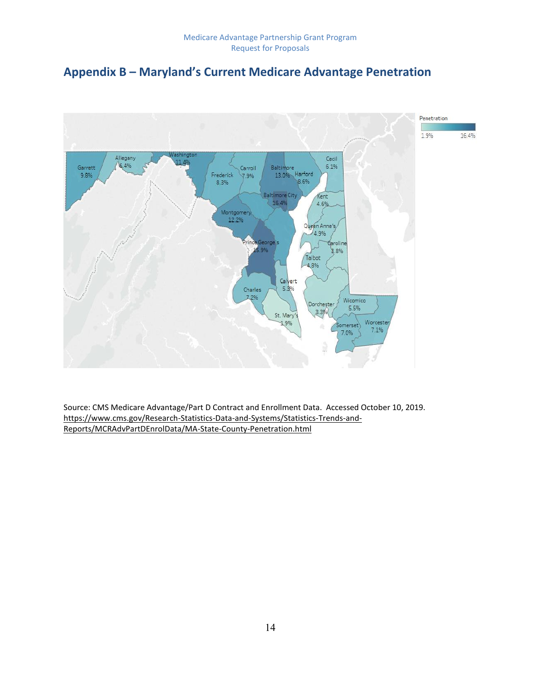### **Appendix B – Maryland's Current Medicare Advantage Penetration**



Source: CMS Medicare Advantage/Part D Contract and Enrollment Data. Accessed October 10, 2019. [https://www.cms.gov/Research-Statistics-Data-and-Systems/Statistics-Trends-and-](https://www.cms.gov/Research-Statistics-Data-and-Systems/Statistics-Trends-and-Reports/MCRAdvPartDEnrolData/MA-State-County-Penetration.html)[Reports/MCRAdvPartDEnrolData/MA-State-County-Penetration.html](https://www.cms.gov/Research-Statistics-Data-and-Systems/Statistics-Trends-and-Reports/MCRAdvPartDEnrolData/MA-State-County-Penetration.html)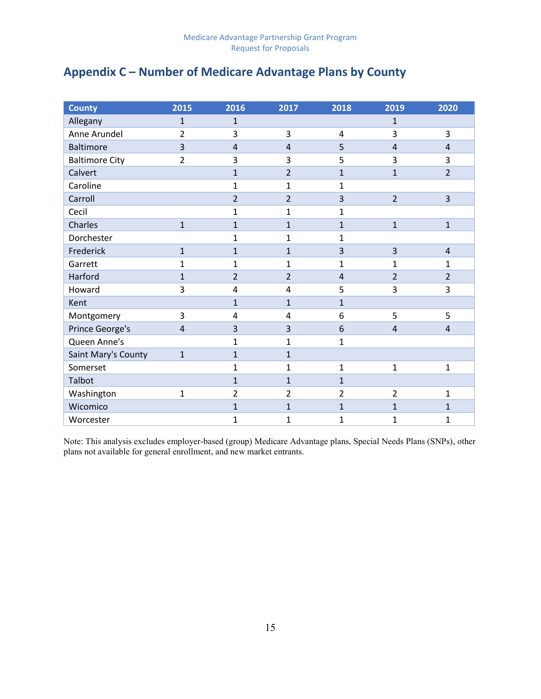### **Appendix C – Number of Medicare Advantage Plans by County**

| <b>County</b>         | 2015           | 2016           | 2017           | 2018           | 2019           | 2020           |
|-----------------------|----------------|----------------|----------------|----------------|----------------|----------------|
| Allegany              | $\mathbf{1}$   | $\mathbf{1}$   |                |                | $\mathbf{1}$   |                |
| Anne Arundel          | $\overline{2}$ | 3              | 3              | $\overline{4}$ | 3              | 3              |
| <b>Baltimore</b>      | $\overline{3}$ | $\overline{4}$ | $\overline{4}$ | 5              | $\overline{4}$ | 4              |
| <b>Baltimore City</b> | $\overline{2}$ | 3              | 3              | 5              | 3              | 3              |
| Calvert               |                | $\mathbf{1}$   | $\overline{2}$ | $\mathbf{1}$   | $\mathbf{1}$   | $\overline{2}$ |
| Caroline              |                | $\mathbf{1}$   | $\mathbf{1}$   | $\mathbf{1}$   |                |                |
| Carroll               |                | $\overline{2}$ | $\overline{2}$ | 3              | $\overline{2}$ | 3              |
| Cecil                 |                | 1              | 1              | 1              |                |                |
| Charles               | $\mathbf{1}$   | $\mathbf{1}$   | $\mathbf{1}$   | $\mathbf{1}$   | $\mathbf{1}$   | $\mathbf{1}$   |
| Dorchester            |                | 1              | 1              | 1              |                |                |
| Frederick             | $\mathbf{1}$   | $\mathbf{1}$   | $\mathbf{1}$   | 3              | 3              | $\overline{4}$ |
| Garrett               | 1              | 1              | 1              | 1              | 1              | 1              |
| Harford               | $\mathbf{1}$   | $\overline{2}$ | $\overline{2}$ | $\overline{4}$ | $\overline{2}$ | $\overline{2}$ |
| Howard                | 3              | 4              | 4              | 5              | 3              | 3              |
| Kent                  |                | $\mathbf{1}$   | $\mathbf{1}$   | $\mathbf{1}$   |                |                |
| Montgomery            | 3              | 4              | 4              | 6              | 5              | 5              |
| Prince George's       | $\overline{4}$ | 3              | 3              | 6              | $\overline{4}$ | $\overline{4}$ |
| Queen Anne's          |                | 1              | 1              | $\mathbf{1}$   |                |                |
| Saint Mary's County   | $\mathbf{1}$   | $\mathbf{1}$   | $\mathbf{1}$   |                |                |                |
| Somerset              |                | $\mathbf{1}$   | 1              | $\mathbf{1}$   | $\mathbf{1}$   | 1              |
| Talbot                |                | $\mathbf{1}$   | $\mathbf{1}$   | $\mathbf{1}$   |                |                |
| Washington            | $\mathbf 1$    | $\overline{2}$ | 2              | $\overline{2}$ | $\overline{2}$ | $\mathbf 1$    |
| Wicomico              |                | $\mathbf{1}$   | $\mathbf{1}$   | $\mathbf{1}$   | $\mathbf{1}$   | $\mathbf{1}$   |
| Worcester             |                | $\mathbf{1}$   | $\mathbf 1$    | $\mathbf{1}$   | $\mathbf{1}$   | 1              |

Note: This analysis excludes employer-based (group) Medicare Advantage plans, Special Needs Plans (SNPs), other plans not available for general enrollment, and new market entrants.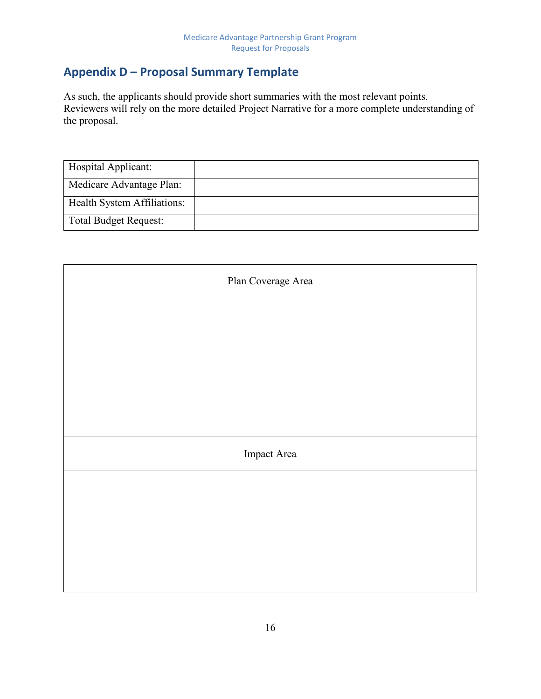### **Appendix D – Proposal Summary Template**

As such, the applicants should provide short summaries with the most relevant points. Reviewers will rely on the more detailed Project Narrative for a more complete understanding of the proposal.

| Hospital Applicant:          |  |
|------------------------------|--|
| Medicare Advantage Plan:     |  |
| Health System Affiliations:  |  |
| <b>Total Budget Request:</b> |  |

| Plan Coverage Area |
|--------------------|
|                    |
|                    |
|                    |
|                    |
| Impact Area        |
|                    |
|                    |
|                    |
|                    |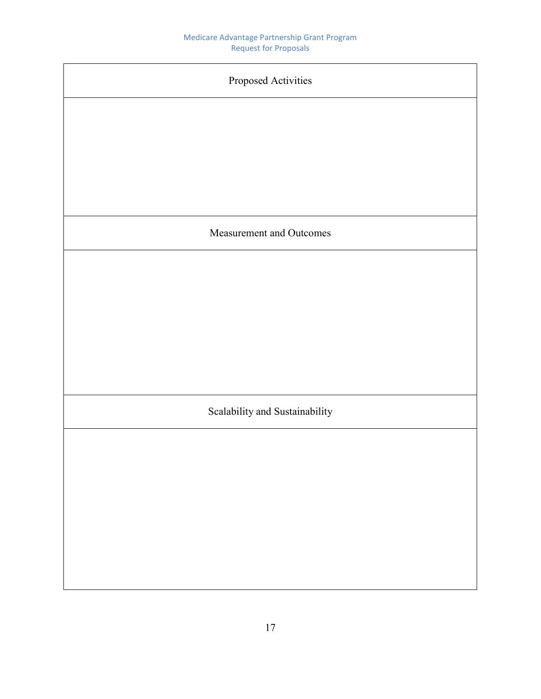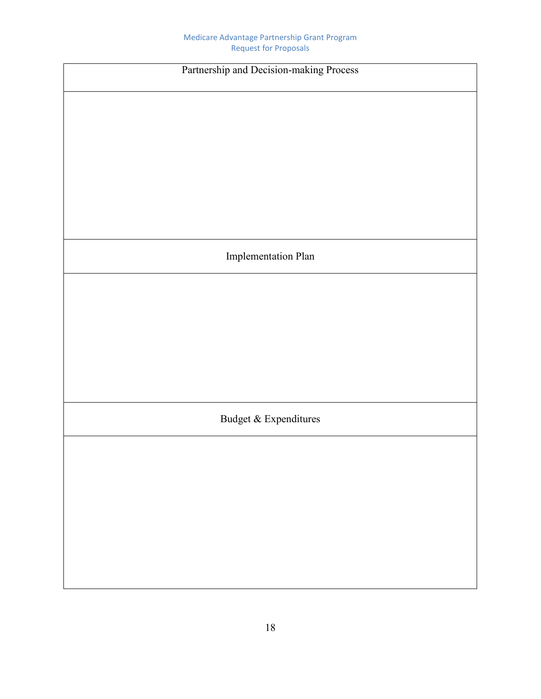| Partnership and Decision-making Process |  |  |
|-----------------------------------------|--|--|
|                                         |  |  |
|                                         |  |  |
|                                         |  |  |
|                                         |  |  |
|                                         |  |  |
|                                         |  |  |
| <b>Implementation Plan</b>              |  |  |
|                                         |  |  |
|                                         |  |  |
|                                         |  |  |
|                                         |  |  |
|                                         |  |  |
| Budget & Expenditures                   |  |  |
|                                         |  |  |
|                                         |  |  |
|                                         |  |  |
|                                         |  |  |
|                                         |  |  |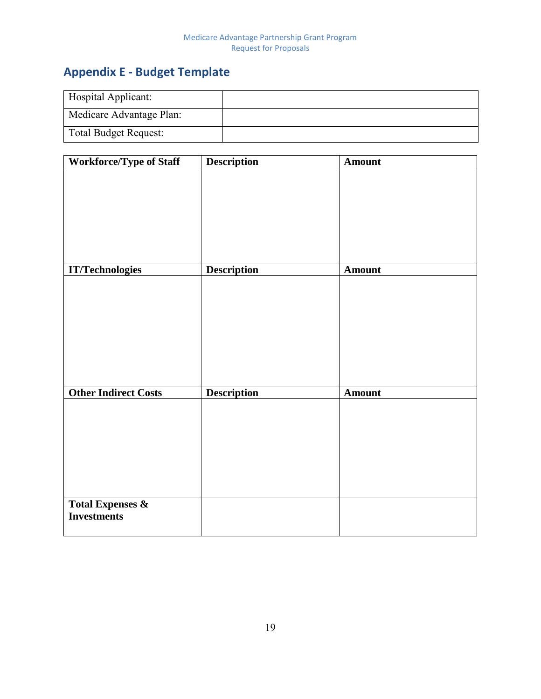# **Appendix E - Budget Template**

| Hospital Applicant:          |  |
|------------------------------|--|
| Medicare Advantage Plan:     |  |
| <b>Total Budget Request:</b> |  |

| <b>Workforce/Type of Staff</b>                    | <b>Description</b> | <b>Amount</b> |
|---------------------------------------------------|--------------------|---------------|
|                                                   |                    |               |
|                                                   |                    |               |
|                                                   |                    |               |
|                                                   |                    |               |
|                                                   |                    |               |
|                                                   |                    |               |
|                                                   |                    |               |
| <b>IT/Technologies</b>                            | <b>Description</b> | <b>Amount</b> |
|                                                   |                    |               |
|                                                   |                    |               |
|                                                   |                    |               |
|                                                   |                    |               |
|                                                   |                    |               |
|                                                   |                    |               |
|                                                   |                    |               |
|                                                   |                    |               |
| <b>Other Indirect Costs</b>                       | <b>Description</b> | Amount        |
|                                                   |                    |               |
|                                                   |                    |               |
|                                                   |                    |               |
|                                                   |                    |               |
|                                                   |                    |               |
|                                                   |                    |               |
|                                                   |                    |               |
| <b>Total Expenses &amp;</b><br><b>Investments</b> |                    |               |
|                                                   |                    |               |
|                                                   |                    |               |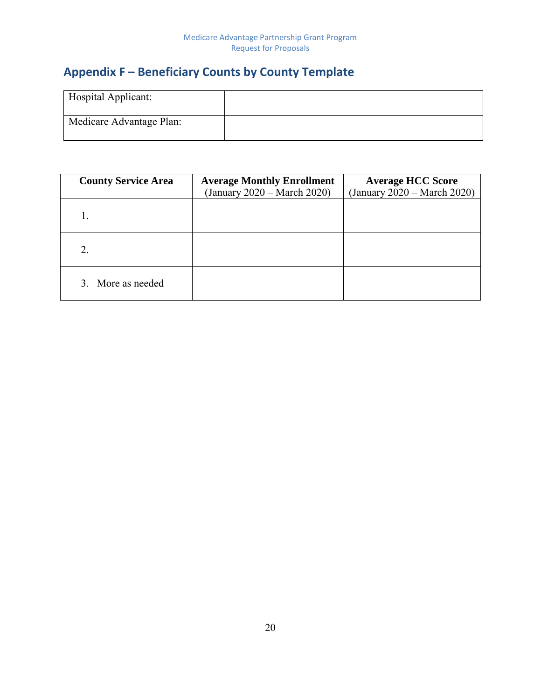### **Appendix F – Beneficiary Counts by County Template**

| Hospital Applicant:      |  |
|--------------------------|--|
| Medicare Advantage Plan: |  |

| <b>County Service Area</b> | <b>Average Monthly Enrollment</b> | <b>Average HCC Score</b>    |
|----------------------------|-----------------------------------|-----------------------------|
|                            | (January 2020 – March 2020)       | (January 2020 – March 2020) |
|                            |                                   |                             |
| 2.                         |                                   |                             |
| 3. More as needed          |                                   |                             |